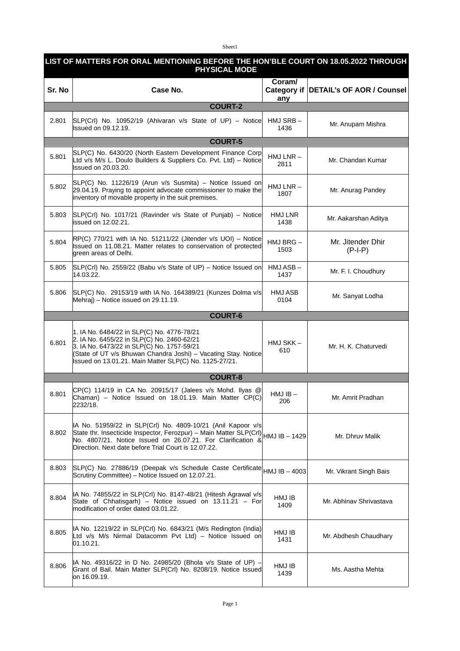Sheet1

| LIST OF MATTERS FOR ORAL MENTIONING BEFORE THE HON'BLE COURT ON 18.05.2022 THROUGH<br><b>PHYSICAL MODE</b> |                                                                                                                                                                                                                                                                                |                     |                                       |  |  |
|------------------------------------------------------------------------------------------------------------|--------------------------------------------------------------------------------------------------------------------------------------------------------------------------------------------------------------------------------------------------------------------------------|---------------------|---------------------------------------|--|--|
| Sr. No                                                                                                     | Case No.                                                                                                                                                                                                                                                                       | Coram/<br>any       | Category if DETAIL's OF AOR / Counsel |  |  |
| <b>COURT-2</b>                                                                                             |                                                                                                                                                                                                                                                                                |                     |                                       |  |  |
| 2.801                                                                                                      | $SLP(Cr)$ No. 10952/19 (Ahivaran v/s State of UP) – Notice<br>Issued on 09.12.19.                                                                                                                                                                                              | HMJ SRB-<br>1436    | Mr. Anupam Mishra                     |  |  |
|                                                                                                            | <b>COURT-5</b>                                                                                                                                                                                                                                                                 |                     |                                       |  |  |
| 5.801                                                                                                      | SLP(C) No. 6430/20 (North Eastern Development Finance Corp<br>Ltd v/s M/s L. Doulo Builders & Suppliers Co. Pvt. Ltd) - Notice<br>Issued on 20.03.20.                                                                                                                          | $HMJ LNR -$<br>2811 | Mr. Chandan Kumar                     |  |  |
| 5.802                                                                                                      | $SLP(C)$ No. 11226/19 (Arun v/s Susmita) – Notice Issued on<br>$29.04.19$ . Praying to appoint advocate commissioner to make the<br>inventory of movable property in the suit premises.                                                                                        | $HMJ LNR -$<br>1807 | Mr. Anurag Pandey                     |  |  |
| 5.803                                                                                                      | SLP(Crl) No. 1017/21 (Ravinder v/s State of Punjab) - Notice<br>issued on 12.02.21.                                                                                                                                                                                            | HMJ LNR<br>1438     | Mr. Aakarshan Aditya                  |  |  |
| 5.804                                                                                                      | $RP(C)$ 770/21 with IA No. 51211/22 (Jitender v/s UOI) – Notice<br>Issued on 11.08.21. Matter relates to conservation of protected<br>green areas of Delhi.                                                                                                                    | HMJ BRG -<br>1503   | Mr. Jitender Dhir<br>$(P-I-P)$        |  |  |
| 5.805                                                                                                      | $SLP(CrI)$ No. 2559/22 (Babu v/s State of UP) – Notice Issued on<br>14.03.22.                                                                                                                                                                                                  | HMJ ASB-<br>1437    | Mr. F. I. Choudhury                   |  |  |
| 5.806                                                                                                      | SLP(C) No. 29153/19 with IA No. 164389/21 (Kunzes Dolma v/s<br>Mehraj) - Notice issued on 29.11.19.                                                                                                                                                                            | HMJ ASB<br>0104     | Mr. Sanyat Lodha                      |  |  |
|                                                                                                            | <b>COURT-6</b>                                                                                                                                                                                                                                                                 |                     |                                       |  |  |
| 6.801                                                                                                      | 1. IA No. 6484/22 in SLP(C) No. 4776-78/21<br>2. IA No. 6455/22 in SLP(C) No. 2460-62/21<br>3. IA No. 6473/22 in SLP(C) No. 1757-59/21<br>(State of UT v/s Bhuwan Chandra Joshi) - Vacating Stay. Notice<br>Issued on 13.01.21. Main Matter SLP(C) No. 1125-27/21.             | HMJ SKK-<br>610     | Mr. H. K. Chaturvedi                  |  |  |
|                                                                                                            | <b>COURT-8</b>                                                                                                                                                                                                                                                                 |                     |                                       |  |  |
| 8.801                                                                                                      | $CP(C)$ 114/19 in CA No. 20915/17 (Jalees v/s Mohd. Ilyas @<br>Chaman) - Notice Issued on 18.01.19. Main Matter CP(C)<br>2232/18.                                                                                                                                              | $HMJIB -$<br>206    | Mr. Amrit Pradhan                     |  |  |
| 8.802                                                                                                      | IA No. 51959/22 in SLP(Crl) No. 4809-10/21 (Anil Kapoor v/s<br>State thr. Insecticide Inspector, Ferozpur) – Main Matter SLP(CrI) $\vert$ HMJ IB – 1429<br>No. 4807/21. Notice Issued on 26.07.21. For Clarification &<br>Direction. Next date before Trial Court is 12.07.22. |                     | Mr. Dhruv Malik                       |  |  |
| 8.803                                                                                                      | SLP(C) No. 27886/19 (Deepak v/s Schedule Caste Certificate HMJ IB - 4003<br>Scrutiny Committee) - Notice Issued on 12.07.21.                                                                                                                                                   |                     | Mr. Vikrant Singh Bais                |  |  |
| 8.804                                                                                                      | IA No. 74855/22 in SLP(Crl) No. 8147-48/21 (Hitesh Agrawal v/s<br>State of Chhatisgarh) - Notice issued on $13.11.21$ - For<br>modification of order dated 03.01.22.                                                                                                           | HMJ IB<br>1409      | Mr. Abhinav Shrivastava               |  |  |
| 8.805                                                                                                      | IA No. 12219/22 in SLP(Crl) No. 6843/21 (M/s Redington (India)<br>Ltd v/s M/s Nirmal Datacomm Pvt Ltd) - Notice Issued on<br>01.10.21.                                                                                                                                         | HMJ IB<br>1431      | Mr. Abdhesh Chaudhary                 |  |  |
| 8.806                                                                                                      | IA No. 49316/22 in D No. 24985/20 (Bhola v/s State of UP) -<br>Grant of Bail. Main Matter SLP(Crl) No. 8208/19. Notice Issued<br>on 16.09.19.                                                                                                                                  | HMJ IB<br>1439      | Ms. Aastha Mehta                      |  |  |